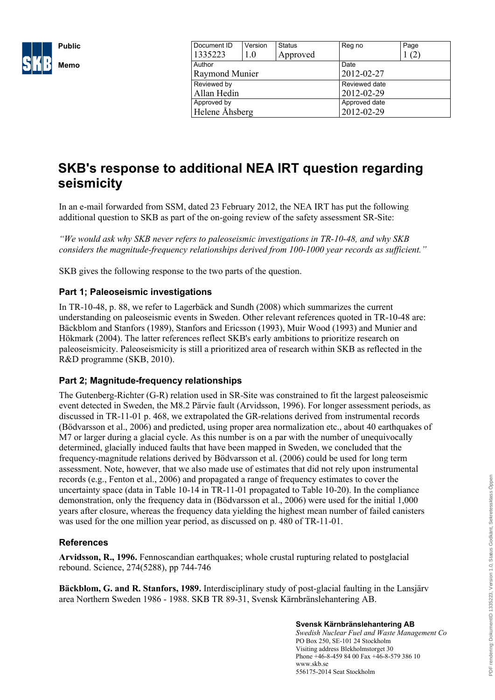

| Document ID    | Version | <b>Status</b> | Reg no        | Page |
|----------------|---------|---------------|---------------|------|
| 1335223        | 1.0     | Approved      |               | (2)  |
| Author         |         |               | Date          |      |
| Raymond Munier |         |               | 2012-02-27    |      |
| Reviewed by    |         |               | Reviewed date |      |
| Allan Hedin    |         |               | 2012-02-29    |      |
| Approved by    |         |               | Approved date |      |
| Helene Åhsberg |         |               | 2012-02-29    |      |
|                |         |               |               |      |

# **SKB's response to additional NEA IRT question regarding seismicity**

In an e-mail forwarded from SSM, dated 23 February 2012, the NEA IRT has put the following additional question to SKB as part of the on-going review of the safety assessment SR-Site:

*"We would ask why SKB never refers to paleoseismic investigations in TR-10-48, and why SKB considers the magnitude-frequency relationships derived from 100-1000 year records as sufficient."*

SKB gives the following response to the two parts of the question.

## **Part 1; Paleoseismic investigations**

In TR-10-48, p. 88, we refer to Lagerbäck and Sundh (2008) which summarizes the current understanding on paleoseismic events in Sweden. Other relevant references quoted in TR-10-48 are: Bäckblom and Stanfors (1989), Stanfors and Ericsson (1993), Muir Wood (1993) and Munier and Hökmark (2004). The latter references reflect SKB's early ambitions to prioritize research on paleoseismicity. Paleoseismicity is still a prioritized area of research within SKB as reflected in the R&D programme (SKB, 2010).

## **Part 2; Magnitude-frequency relationships**

The Gutenberg-Richter (G-R) relation used in SR-Site was constrained to fit the largest paleoseismic event detected in Sweden, the M8.2 Pärvie fault (Arvidsson, 1996). For longer assessment periods, as discussed in TR-11-01 p. 468, we extrapolated the GR-relations derived from instrumental records (Bödvarsson et al., 2006) and predicted, using proper area normalization etc., about 40 earthquakes of M7 or larger during a glacial cycle. As this number is on a par with the number of unequivocally determined, glacially induced faults that have been mapped in Sweden, we concluded that the frequency-magnitude relations derived by Bödvarsson et al. (2006) could be used for long term assessment. Note, however, that we also made use of estimates that did not rely upon instrumental records (e.g., Fenton et al., 2006) and propagated a range of frequency estimates to cover the uncertainty space (data in Table 10-14 in TR-11-01 propagated to Table 10-20). In the compliance demonstration, only the frequency data in (Bödvarsson et al., 2006) were used for the initial 1,000 years after closure, whereas the frequency data yielding the highest mean number of failed canisters was used for the one million year period, as discussed on p. 480 of TR-11-01.

#### **References**

**Arvidsson, R., 1996.** Fennoscandian earthquakes; whole crustal rupturing related to postglacial rebound. Science, 274(5288), pp 744-746

**Bäckblom, G. and R. Stanfors, 1989.** Interdisciplinary study of post-glacial faulting in the Lansjärv area Northern Sweden 1986 - 1988. SKB TR 89-31, Svensk Kärnbränslehantering AB.

#### **Svensk Kärnbränslehantering AB**

*Swedish Nuclear Fuel and Waste Management Co* PO Box 250, SE-101 24 Stockholm Visiting address Blekholmstorget 30 Phone +46-8-459 84 00 Fax +46-8-579 386 10 www.skb.se 556175-2014 Seat Stockholm